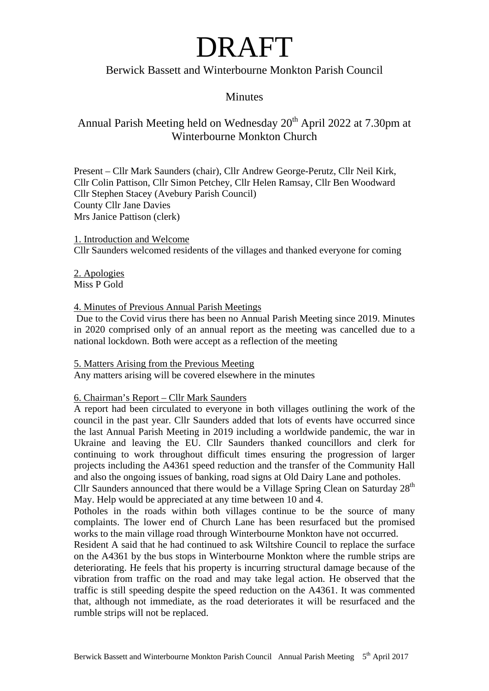### Berwick Bassett and Winterbourne Monkton Parish Council

### **Minutes**

### Annual Parish Meeting held on Wednesday  $20<sup>th</sup>$  April 2022 at 7.30pm at Winterbourne Monkton Church

Present – Cllr Mark Saunders (chair), Cllr Andrew George-Perutz, Cllr Neil Kirk, Cllr Colin Pattison, Cllr Simon Petchey, Cllr Helen Ramsay, Cllr Ben Woodward Cllr Stephen Stacey (Avebury Parish Council) County Cllr Jane Davies Mrs Janice Pattison (clerk)

1. Introduction and Welcome Cllr Saunders welcomed residents of the villages and thanked everyone for coming

2. Apologies Miss P Gold

### 4. Minutes of Previous Annual Parish Meetings

 Due to the Covid virus there has been no Annual Parish Meeting since 2019. Minutes in 2020 comprised only of an annual report as the meeting was cancelled due to a national lockdown. Both were accept as a reflection of the meeting

### 5. Matters Arising from the Previous Meeting

Any matters arising will be covered elsewhere in the minutes

### 6. Chairman's Report – Cllr Mark Saunders

A report had been circulated to everyone in both villages outlining the work of the council in the past year. Cllr Saunders added that lots of events have occurred since the last Annual Parish Meeting in 2019 including a worldwide pandemic, the war in Ukraine and leaving the EU. Cllr Saunders thanked councillors and clerk for continuing to work throughout difficult times ensuring the progression of larger projects including the A4361 speed reduction and the transfer of the Community Hall and also the ongoing issues of banking, road signs at Old Dairy Lane and potholes.

Cllr Saunders announced that there would be a Village Spring Clean on Saturday  $28<sup>th</sup>$ May. Help would be appreciated at any time between 10 and 4.

Potholes in the roads within both villages continue to be the source of many complaints. The lower end of Church Lane has been resurfaced but the promised works to the main village road through Winterbourne Monkton have not occurred.

Resident A said that he had continued to ask Wiltshire Council to replace the surface on the A4361 by the bus stops in Winterbourne Monkton where the rumble strips are deteriorating. He feels that his property is incurring structural damage because of the vibration from traffic on the road and may take legal action. He observed that the traffic is still speeding despite the speed reduction on the A4361. It was commented that, although not immediate, as the road deteriorates it will be resurfaced and the rumble strips will not be replaced.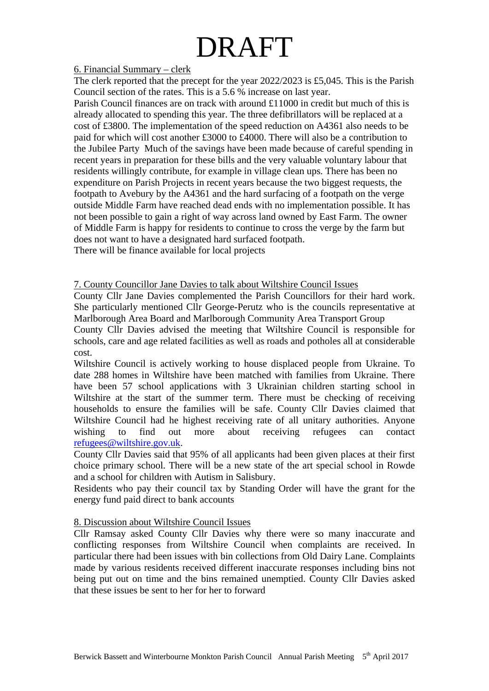### 6. Financial Summary – clerk

The clerk reported that the precept for the year 2022/2023 is £5,045. This is the Parish Council section of the rates. This is a 5.6 % increase on last year.

Parish Council finances are on track with around £11000 in credit but much of this is already allocated to spending this year. The three defibrillators will be replaced at a cost of £3800. The implementation of the speed reduction on A4361 also needs to be paid for which will cost another £3000 to £4000. There will also be a contribution to the Jubilee Party Much of the savings have been made because of careful spending in recent years in preparation for these bills and the very valuable voluntary labour that residents willingly contribute, for example in village clean ups. There has been no expenditure on Parish Projects in recent years because the two biggest requests, the footpath to Avebury by the A4361 and the hard surfacing of a footpath on the verge outside Middle Farm have reached dead ends with no implementation possible. It has not been possible to gain a right of way across land owned by East Farm. The owner of Middle Farm is happy for residents to continue to cross the verge by the farm but does not want to have a designated hard surfaced footpath.

There will be finance available for local projects

### 7. County Councillor Jane Davies to talk about Wiltshire Council Issues

County Cllr Jane Davies complemented the Parish Councillors for their hard work. She particularly mentioned Cllr George-Perutz who is the councils representative at Marlborough Area Board and Marlborough Community Area Transport Group

County Cllr Davies advised the meeting that Wiltshire Council is responsible for schools, care and age related facilities as well as roads and potholes all at considerable cost.

Wiltshire Council is actively working to house displaced people from Ukraine. To date 288 homes in Wiltshire have been matched with families from Ukraine. There have been 57 school applications with 3 Ukrainian children starting school in Wiltshire at the start of the summer term. There must be checking of receiving households to ensure the families will be safe. County Cllr Davies claimed that Wiltshire Council had he highest receiving rate of all unitary authorities. Anyone wishing to find out more about receiving refugees can contact [refugees@wiltshire.gov.uk.](mailto:refugees@wiltshire.gov.uk)

County Cllr Davies said that 95% of all applicants had been given places at their first choice primary school. There will be a new state of the art special school in Rowde and a school for children with Autism in Salisbury.

Residents who pay their council tax by Standing Order will have the grant for the energy fund paid direct to bank accounts

### 8. Discussion about Wiltshire Council Issues

Cllr Ramsay asked County Cllr Davies why there were so many inaccurate and conflicting responses from Wiltshire Council when complaints are received. In particular there had been issues with bin collections from Old Dairy Lane. Complaints made by various residents received different inaccurate responses including bins not being put out on time and the bins remained unemptied. County Cllr Davies asked that these issues be sent to her for her to forward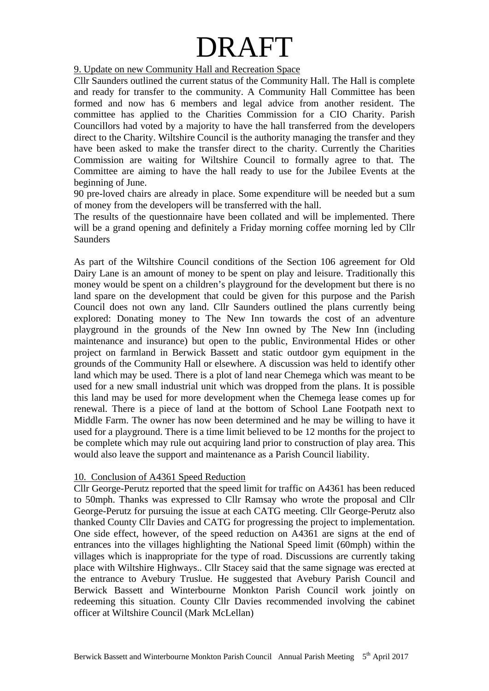9. Update on new Community Hall and Recreation Space

Cllr Saunders outlined the current status of the Community Hall. The Hall is complete and ready for transfer to the community. A Community Hall Committee has been formed and now has 6 members and legal advice from another resident. The committee has applied to the Charities Commission for a CIO Charity. Parish Councillors had voted by a majority to have the hall transferred from the developers direct to the Charity. Wiltshire Council is the authority managing the transfer and they have been asked to make the transfer direct to the charity. Currently the Charities Commission are waiting for Wiltshire Council to formally agree to that. The Committee are aiming to have the hall ready to use for the Jubilee Events at the beginning of June.

90 pre-loved chairs are already in place. Some expenditure will be needed but a sum of money from the developers will be transferred with the hall.

The results of the questionnaire have been collated and will be implemented. There will be a grand opening and definitely a Friday morning coffee morning led by Cllr **Saunders** 

As part of the Wiltshire Council conditions of the Section 106 agreement for Old Dairy Lane is an amount of money to be spent on play and leisure. Traditionally this money would be spent on a children's playground for the development but there is no land spare on the development that could be given for this purpose and the Parish Council does not own any land. Cllr Saunders outlined the plans currently being explored: Donating money to The New Inn towards the cost of an adventure playground in the grounds of the New Inn owned by The New Inn (including maintenance and insurance) but open to the public, Environmental Hides or other project on farmland in Berwick Bassett and static outdoor gym equipment in the grounds of the Community Hall or elsewhere. A discussion was held to identify other land which may be used. There is a plot of land near Chemega which was meant to be used for a new small industrial unit which was dropped from the plans. It is possible this land may be used for more development when the Chemega lease comes up for renewal. There is a piece of land at the bottom of School Lane Footpath next to Middle Farm. The owner has now been determined and he may be willing to have it used for a playground. There is a time limit believed to be 12 months for the project to be complete which may rule out acquiring land prior to construction of play area. This would also leave the support and maintenance as a Parish Council liability.

### 10. Conclusion of A4361 Speed Reduction

Cllr George-Perutz reported that the speed limit for traffic on A4361 has been reduced to 50mph. Thanks was expressed to Cllr Ramsay who wrote the proposal and Cllr George-Perutz for pursuing the issue at each CATG meeting. Cllr George-Perutz also thanked County Cllr Davies and CATG for progressing the project to implementation. One side effect, however, of the speed reduction on A4361 are signs at the end of entrances into the villages highlighting the National Speed limit (60mph) within the villages which is inappropriate for the type of road. Discussions are currently taking place with Wiltshire Highways.. Cllr Stacey said that the same signage was erected at the entrance to Avebury Truslue. He suggested that Avebury Parish Council and Berwick Bassett and Winterbourne Monkton Parish Council work jointly on redeeming this situation. County Cllr Davies recommended involving the cabinet officer at Wiltshire Council (Mark McLellan)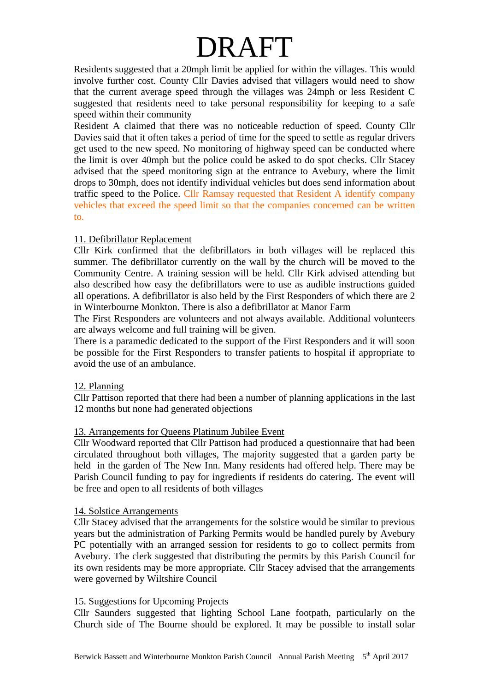Residents suggested that a 20mph limit be applied for within the villages. This would involve further cost. County Cllr Davies advised that villagers would need to show that the current average speed through the villages was 24mph or less Resident C suggested that residents need to take personal responsibility for keeping to a safe speed within their community

Resident A claimed that there was no noticeable reduction of speed. County Cllr Davies said that it often takes a period of time for the speed to settle as regular drivers get used to the new speed. No monitoring of highway speed can be conducted where the limit is over 40mph but the police could be asked to do spot checks. Cllr Stacey advised that the speed monitoring sign at the entrance to Avebury, where the limit drops to 30mph, does not identify individual vehicles but does send information about traffic speed to the Police. Cllr Ramsay requested that Resident A identify company vehicles that exceed the speed limit so that the companies concerned can be written to.

### 11. Defibrillator Replacement

Cllr Kirk confirmed that the defibrillators in both villages will be replaced this summer. The defibrillator currently on the wall by the church will be moved to the Community Centre. A training session will be held. Cllr Kirk advised attending but also described how easy the defibrillators were to use as audible instructions guided all operations. A defibrillator is also held by the First Responders of which there are 2 in Winterbourne Monkton. There is also a defibrillator at Manor Farm

The First Responders are volunteers and not always available. Additional volunteers are always welcome and full training will be given.

There is a paramedic dedicated to the support of the First Responders and it will soon be possible for the First Responders to transfer patients to hospital if appropriate to avoid the use of an ambulance.

### 12. Planning

Cllr Pattison reported that there had been a number of planning applications in the last 12 months but none had generated objections

### 13. Arrangements for Queens Platinum Jubilee Event

Cllr Woodward reported that Cllr Pattison had produced a questionnaire that had been circulated throughout both villages, The majority suggested that a garden party be held in the garden of The New Inn. Many residents had offered help. There may be Parish Council funding to pay for ingredients if residents do catering. The event will be free and open to all residents of both villages

### 14. Solstice Arrangements

Cllr Stacey advised that the arrangements for the solstice would be similar to previous years but the administration of Parking Permits would be handled purely by Avebury PC potentially with an arranged session for residents to go to collect permits from Avebury. The clerk suggested that distributing the permits by this Parish Council for its own residents may be more appropriate. Cllr Stacey advised that the arrangements were governed by Wiltshire Council

### 15. Suggestions for Upcoming Projects

Cllr Saunders suggested that lighting School Lane footpath, particularly on the Church side of The Bourne should be explored. It may be possible to install solar